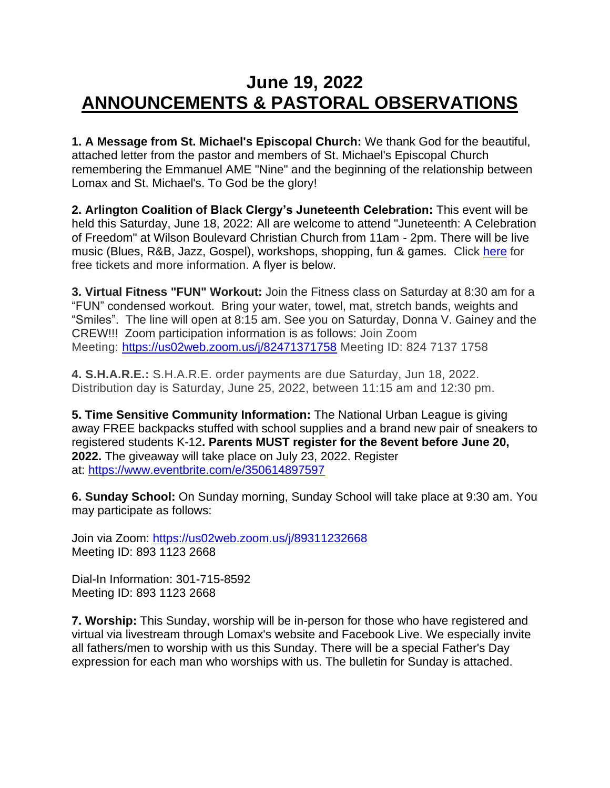## **June 19, 2022 ANNOUNCEMENTS & PASTORAL OBSERVATIONS**

**1. A Message from St. Michael's Episcopal Church:** We thank God for the beautiful, attached letter from the pastor and members of St. Michael's Episcopal Church remembering the Emmanuel AME "Nine" and the beginning of the relationship between Lomax and St. Michael's. To God be the glory!

**2. Arlington Coalition of Black Clergy's Juneteenth Celebration:** This event will be held this Saturday, June 18, 2022: All are welcome to attend "Juneteenth: A Celebration of Freedom" at Wilson Boulevard Christian Church from 11am - 2pm. There will be live music (Blues, R&B, Jazz, Gospel), workshops, shopping, fun & games. Click [here](https://nam12.safelinks.protection.outlook.com/?url=https%3A%2F%2Fwww.eventbrite.com%2Fe%2Fjuneteenth-a-celebration-of-freedom-tickets-343607357857&data=05%7C01%7C%7C1cf7ea7e49bd48067a8708da4946adda%7C84df9e7fe9f640afb435aaaaaaaaaaaa%7C1%7C0%7C637902865187835177%7CUnknown%7CTWFpbGZsb3d8eyJWIjoiMC4wLjAwMDAiLCJQIjoiV2luMzIiLCJBTiI6Ik1haWwiLCJXVCI6Mn0%3D%7C3000%7C%7C%7C&sdata=QTc6m7bgxepcN%2BwzOnOVedf3W%2Bq0XQfBEAZQI1iMVbU%3D&reserved=0) for free tickets and more information. A flyer is below.

**3. Virtual Fitness "FUN" Workout:** Join the Fitness class on Saturday at 8:30 am for a "FUN" condensed workout. Bring your water, towel, mat, stretch bands, weights and "Smiles". The line will open at 8:15 am. See you on Saturday, Donna V. Gainey and the CREW!!! Zoom participation information is as follows: Join Zoom Meeting: [https://us02web.zoom.us/j/82471371758](https://nam12.safelinks.protection.outlook.com/?url=https%3A%2F%2Fwww.google.com%2Furl%3Fq%3Dhttps%3A%2F%2Fus02web.zoom.us%2Fj%2F82471371758%26sa%3DD%26source%3Dcalendar%26usd%3D2%26usg%3DAOvVaw3Rr5ppJbraDqvychIyG1kh&data=05%7C01%7C%7Cb368564943ea49a0d25608da4b254deb%7C84df9e7fe9f640afb435aaaaaaaaaaaa%7C1%7C0%7C637904921050436834%7CUnknown%7CTWFpbGZsb3d8eyJWIjoiMC4wLjAwMDAiLCJQIjoiV2luMzIiLCJBTiI6Ik1haWwiLCJXVCI6Mn0%3D%7C3000%7C%7C%7C&sdata=J5YOZkMCmdOC%2B3J38XzjRdv%2F4jVIpe9SafqXT3bdSB0%3D&reserved=0) Meeting ID: 824 7137 1758

**4. S.H.A.R.E.:** S.H.A.R.E. order payments are due Saturday, Jun 18, 2022. Distribution day is Saturday, June 25, 2022, between 11:15 am and 12:30 pm.

**5. Time Sensitive Community Information:** The National Urban League is giving away FREE backpacks stuffed with school supplies and a brand new pair of sneakers to registered students K-12**. Parents MUST register for the 8event before June 20, 2022.** The giveaway will take place on July 23, 2022. Register at: [https://www.eventbrite.com/e/350614897597](https://nam12.safelinks.protection.outlook.com/?url=https%3A%2F%2Fwww.eventbrite.com%2Fe%2F350614897597&data=05%7C01%7C%7Cb368564943ea49a0d25608da4b254deb%7C84df9e7fe9f640afb435aaaaaaaaaaaa%7C1%7C0%7C637904921050436834%7CUnknown%7CTWFpbGZsb3d8eyJWIjoiMC4wLjAwMDAiLCJQIjoiV2luMzIiLCJBTiI6Ik1haWwiLCJXVCI6Mn0%3D%7C3000%7C%7C%7C&sdata=Af7tXJv3Lo82w4RFLgc1njQCp5rfuP%2FVPP4xZUq8gA0%3D&reserved=0)

**6. Sunday School:** On Sunday morning, Sunday School will take place at 9:30 am. You may participate as follows:

Join via Zoom: [https://us02web.zoom.us/j/89311232668](https://nam12.safelinks.protection.outlook.com/?url=https%3A%2F%2Fus02web.zoom.us%2Fj%2F89311232668&data=05%7C01%7C%7Cb368564943ea49a0d25608da4b254deb%7C84df9e7fe9f640afb435aaaaaaaaaaaa%7C1%7C0%7C637904921050436834%7CUnknown%7CTWFpbGZsb3d8eyJWIjoiMC4wLjAwMDAiLCJQIjoiV2luMzIiLCJBTiI6Ik1haWwiLCJXVCI6Mn0%3D%7C3000%7C%7C%7C&sdata=FOrclqieBYXDO0Fn2oMiPuHXIikudPtfF1q4wf%2BnLWQ%3D&reserved=0) Meeting ID: 893 1123 2668

Dial-In Information: 301-715-8592 Meeting ID: 893 1123 2668

**7. Worship:** This Sunday, worship will be in-person for those who have registered and virtual via livestream through Lomax's website and Facebook Live. We especially invite all fathers/men to worship with us this Sunday. There will be a special Father's Day expression for each man who worships with us. The bulletin for Sunday is attached.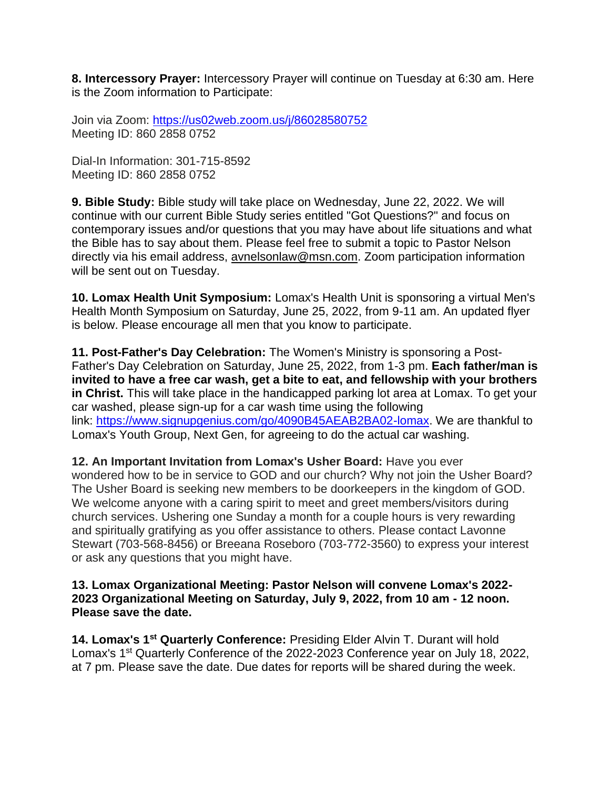**8. Intercessory Prayer:** Intercessory Prayer will continue on Tuesday at 6:30 am. Here is the Zoom information to Participate:

Join via Zoom: [https://us02web.zoom.us/j/86028580752](https://nam12.safelinks.protection.outlook.com/?url=https%3A%2F%2Fus02web.zoom.us%2Fj%2F86028580752&data=05%7C01%7C%7Cb368564943ea49a0d25608da4b254deb%7C84df9e7fe9f640afb435aaaaaaaaaaaa%7C1%7C0%7C637904921050436834%7CUnknown%7CTWFpbGZsb3d8eyJWIjoiMC4wLjAwMDAiLCJQIjoiV2luMzIiLCJBTiI6Ik1haWwiLCJXVCI6Mn0%3D%7C3000%7C%7C%7C&sdata=%2BYpf6RVIREcMg6no7b%2FtUYcrmw62DH6n1VEhRHkQgc0%3D&reserved=0) Meeting ID: 860 2858 0752

Dial-In Information: 301-715-8592 Meeting ID: 860 2858 0752

**9. Bible Study:** Bible study will take place on Wednesday, June 22, 2022. We will continue with our current Bible Study series entitled "Got Questions?" and focus on contemporary issues and/or questions that you may have about life situations and what the Bible has to say about them. Please feel free to submit a topic to Pastor Nelson directly via his email address, [avnelsonlaw@msn.com.](mailto:avnelsonlaw@msn.com) Zoom participation information will be sent out on Tuesday.

**10. Lomax Health Unit Symposium:** Lomax's Health Unit is sponsoring a virtual Men's Health Month Symposium on Saturday, June 25, 2022, from 9-11 am. An updated flyer is below. Please encourage all men that you know to participate.

**11. Post-Father's Day Celebration:** The Women's Ministry is sponsoring a Post-Father's Day Celebration on Saturday, June 25, 2022, from 1-3 pm. **Each father/man is invited to have a free car wash, get a bite to eat, and fellowship with your brothers in Christ.** This will take place in the handicapped parking lot area at Lomax. To get your car washed, please sign-up for a car wash time using the following link: [https://www.signupgenius.com/go/4090B45AEAB2BA02-lomax.](https://nam12.safelinks.protection.outlook.com/?url=https%3A%2F%2Fwww.signupgenius.com%2Fgo%2F4090B45AEAB2BA02-lomax&data=05%7C01%7C%7C4348124066434a9db84a08da509a7663%7C84df9e7fe9f640afb435aaaaaaaaaaaa%7C1%7C0%7C637910921580563103%7CUnknown%7CTWFpbGZsb3d8eyJWIjoiMC4wLjAwMDAiLCJQIjoiV2luMzIiLCJBTiI6Ik1haWwiLCJXVCI6Mn0%3D%7C3000%7C%7C%7C&sdata=rtzi76vt%2FOdNECC3Qg6xSwTgrI0AK3oq%2FS0XbxO7Jqs%3D&reserved=0) We are thankful to Lomax's Youth Group, Next Gen, for agreeing to do the actual car washing.

**12. An Important Invitation from Lomax's Usher Board:** Have you ever wondered how to be in service to GOD and our church? Why not join the Usher Board? The Usher Board is seeking new members to be doorkeepers in the kingdom of GOD. We welcome anyone with a caring spirit to meet and greet members/visitors during church services. Ushering one Sunday a month for a couple hours is very rewarding and spiritually gratifying as you offer assistance to others. Please contact Lavonne Stewart (703-568-8456) or Breeana Roseboro (703-772-3560) to express your interest or ask any questions that you might have.

## **13. Lomax Organizational Meeting: Pastor Nelson will convene Lomax's 2022- 2023 Organizational Meeting on Saturday, July 9, 2022, from 10 am - 12 noon. Please save the date.**

**14. Lomax's 1st Quarterly Conference:** Presiding Elder Alvin T. Durant will hold Lomax's 1st Quarterly Conference of the 2022-2023 Conference year on July 18, 2022, at 7 pm. Please save the date. Due dates for reports will be shared during the week.